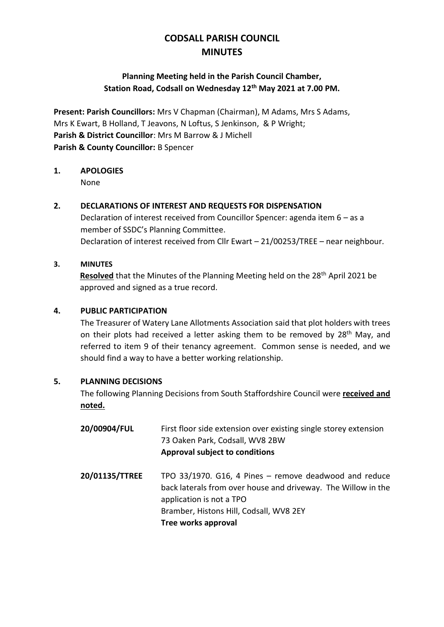# **CODSALL PARISH COUNCIL MINUTES**

# **Planning Meeting held in the Parish Council Chamber, Station Road, Codsall on Wednesday 12th May 2021 at 7.00 PM.**

**Present: Parish Councillors:** Mrs V Chapman (Chairman), M Adams, Mrs S Adams, Mrs K Ewart, B Holland, T Jeavons, N Loftus, S Jenkinson, & P Wright; **Parish & District Councillor**: Mrs M Barrow & J Michell **Parish & County Councillor:** B Spencer

# **1. APOLOGIES**

None

## **2. DECLARATIONS OF INTEREST AND REQUESTS FOR DISPENSATION**

Declaration of interest received from Councillor Spencer: agenda item 6 – as a member of SSDC's Planning Committee. Declaration of interest received from Cllr Ewart – 21/00253/TREE – near neighbour.

#### **3. MINUTES**

**Resolved** that the Minutes of the Planning Meeting held on the 28th April 2021 be approved and signed as a true record.

## **4. PUBLIC PARTICIPATION**

The Treasurer of Watery Lane Allotments Association said that plot holders with trees on their plots had received a letter asking them to be removed by 28<sup>th</sup> May, and referred to item 9 of their tenancy agreement. Common sense is needed, and we should find a way to have a better working relationship.

#### **5. PLANNING DECISIONS**

The following Planning Decisions from South Staffordshire Council were **received and noted.**

| 20/00904/FUL   | First floor side extension over existing single storey extension<br>73 Oaken Park, Codsall, WV8 2BW<br>Approval subject to conditions                                                                                 |
|----------------|-----------------------------------------------------------------------------------------------------------------------------------------------------------------------------------------------------------------------|
| 20/01135/TTREE | TPO 33/1970. G16, 4 Pines - remove deadwood and reduce<br>back laterals from over house and driveway. The Willow in the<br>application is not a TPO<br>Bramber, Histons Hill, Codsall, WV8 2EY<br>Tree works approval |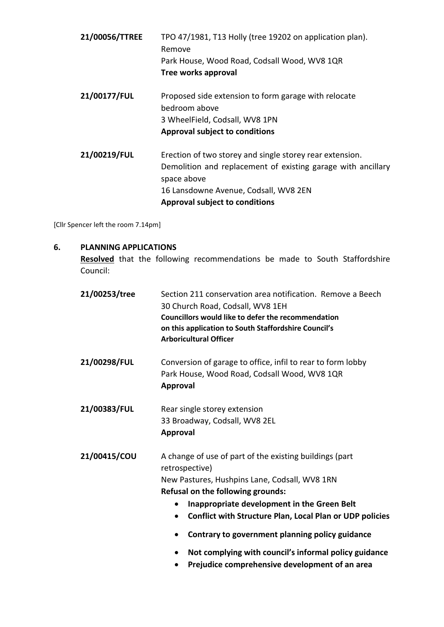| 21/00056/TTREE | TPO 47/1981, T13 Holly (tree 19202 on application plan).<br>Remove                                                                      |
|----------------|-----------------------------------------------------------------------------------------------------------------------------------------|
|                | Park House, Wood Road, Codsall Wood, WV8 1QR                                                                                            |
|                | Tree works approval                                                                                                                     |
| 21/00177/FUL   | Proposed side extension to form garage with relocate<br>bedroom above                                                                   |
|                | 3 WheelField, Codsall, WV8 1PN                                                                                                          |
|                | <b>Approval subject to conditions</b>                                                                                                   |
| 21/00219/FUL   | Erection of two storey and single storey rear extension.<br>Demolition and replacement of existing garage with ancillary<br>space above |
|                | 16 Lansdowne Avenue, Codsall, WV8 2EN                                                                                                   |
|                | <b>Approval subject to conditions</b>                                                                                                   |
|                |                                                                                                                                         |

[Cllr Spencer left the room 7.14pm]

#### **6. PLANNING APPLICATIONS**

**Resolved** that the following recommendations be made to South Staffordshire Council:

| 21/00253/tree | Section 211 conservation area notification. Remove a Beech<br>30 Church Road, Codsall, WV8 1EH<br>Councillors would like to defer the recommendation<br>on this application to South Staffordshire Council's<br><b>Arboricultural Officer</b>                                                                                                            |
|---------------|----------------------------------------------------------------------------------------------------------------------------------------------------------------------------------------------------------------------------------------------------------------------------------------------------------------------------------------------------------|
| 21/00298/FUL  | Conversion of garage to office, infil to rear to form lobby<br>Park House, Wood Road, Codsall Wood, WV8 1QR<br><b>Approval</b>                                                                                                                                                                                                                           |
| 21/00383/FUL  | Rear single storey extension<br>33 Broadway, Codsall, WV8 2EL<br><b>Approval</b>                                                                                                                                                                                                                                                                         |
| 21/00415/COU  | A change of use of part of the existing buildings (part<br>retrospective)<br>New Pastures, Hushpins Lane, Codsall, WV8 1RN<br><b>Refusal on the following grounds:</b><br>Inappropriate development in the Green Belt<br><b>Conflict with Structure Plan, Local Plan or UDP policies</b><br>$\bullet$<br>Contrary to government planning policy guidance |
|               | Not complying with council's informal policy guidance<br>$\bullet$<br>Prejudice comprehensive development of an area<br>$\bullet$                                                                                                                                                                                                                        |